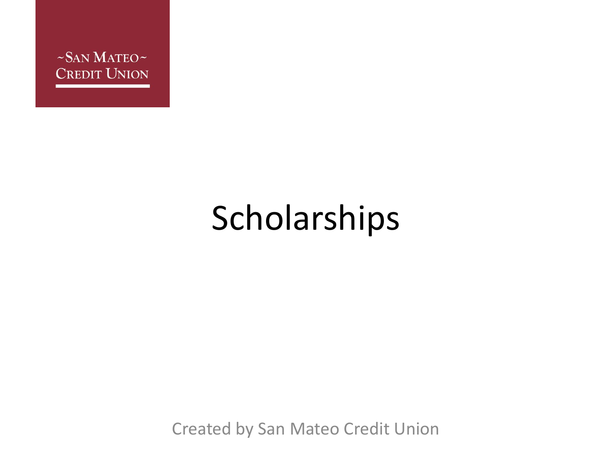

#### Scholarships

Created by San Mateo Credit Union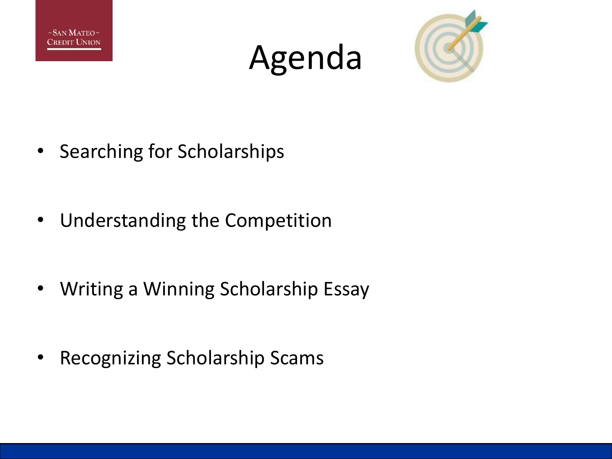





- Searching for Scholarships
- Understanding the Competition
- Writing a Winning Scholarship Essay
- Recognizing Scholarship Scams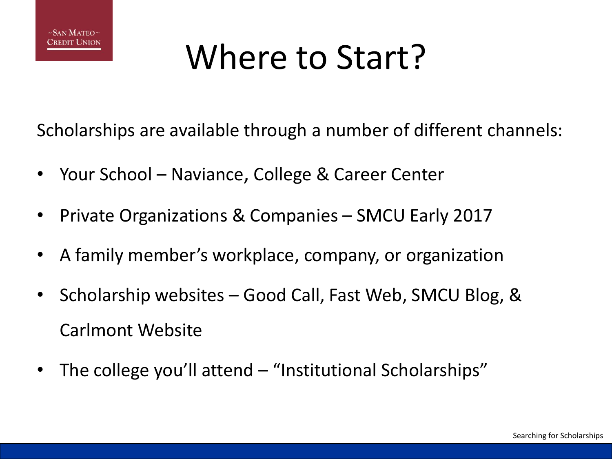

## Where to Start?

Scholarships are available through a number of different channels:

- Your School Naviance, College & Career Center
- Private Organizations & Companies SMCU Early 2017
- A family member's workplace, company, or organization
- Scholarship websites Good Call, Fast Web, SMCU Blog, & Carlmont Website
- The college you'll attend "Institutional Scholarships"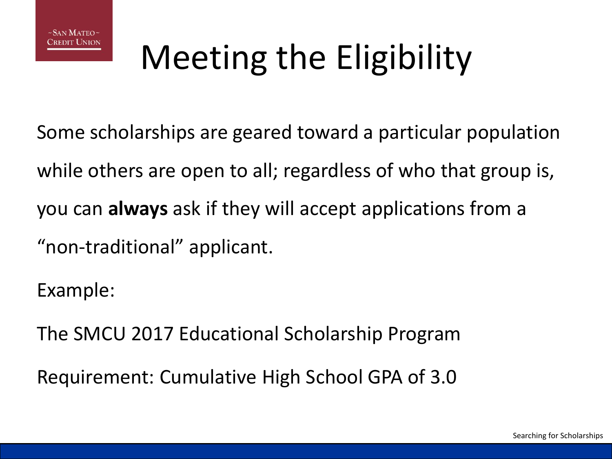# Meeting the Eligibility

Some scholarships are geared toward a particular population while others are open to all; regardless of who that group is, you can **always** ask if they will accept applications from a "non-traditional" applicant.

Example:

The SMCU 2017 Educational Scholarship Program

Requirement: Cumulative High School GPA of 3.0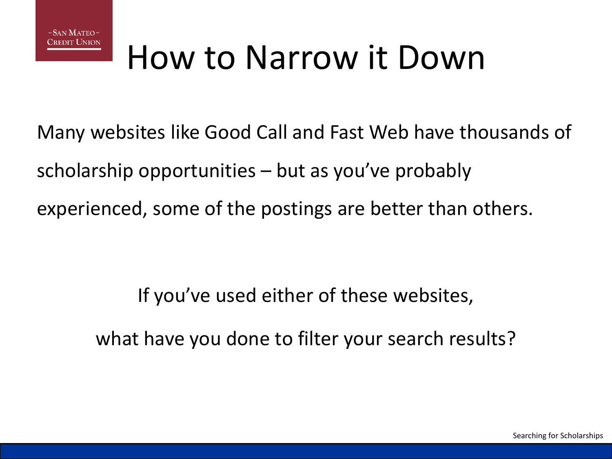

#### How to Narrow it Down

Many websites like Good Call and Fast Web have thousands of scholarship opportunities – but as you've probably experienced, some of the postings are better than others.

> If you've used either of these websites, what have you done to filter your search results?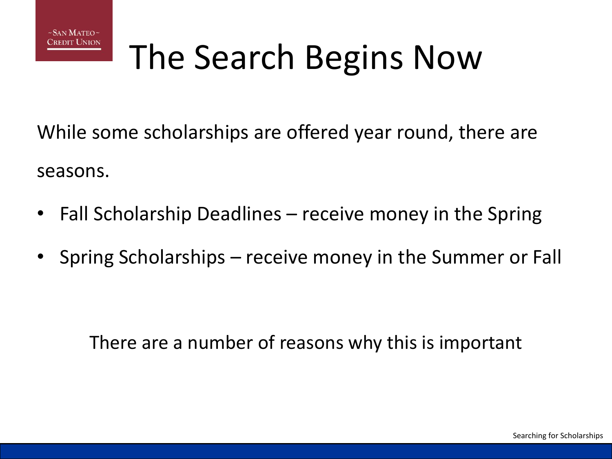

## The Search Begins Now

While some scholarships are offered year round, there are seasons.

- Fall Scholarship Deadlines receive money in the Spring
- Spring Scholarships receive money in the Summer or Fall

There are a number of reasons why this is important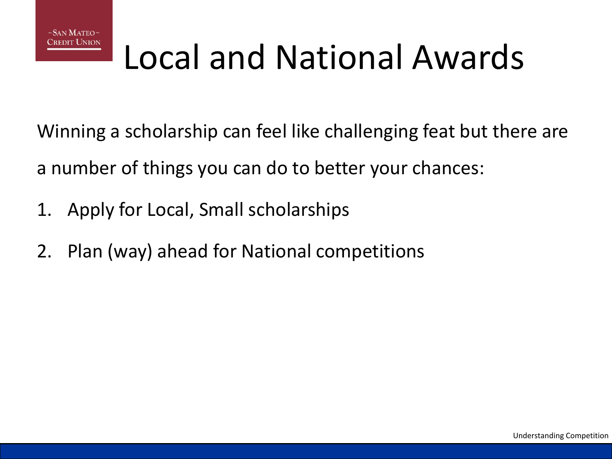

## Local and National Awards

Winning a scholarship can feel like challenging feat but there are a number of things you can do to better your chances:

- 1. Apply for Local, Small scholarships
- 2. Plan (way) ahead for National competitions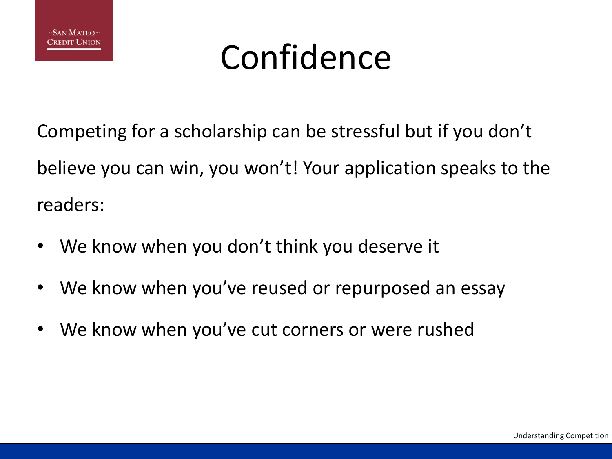

#### Confidence

Competing for a scholarship can be stressful but if you don't believe you can win, you won't! Your application speaks to the readers:

- We know when you don't think you deserve it
- We know when you've reused or repurposed an essay
- We know when you've cut corners or were rushed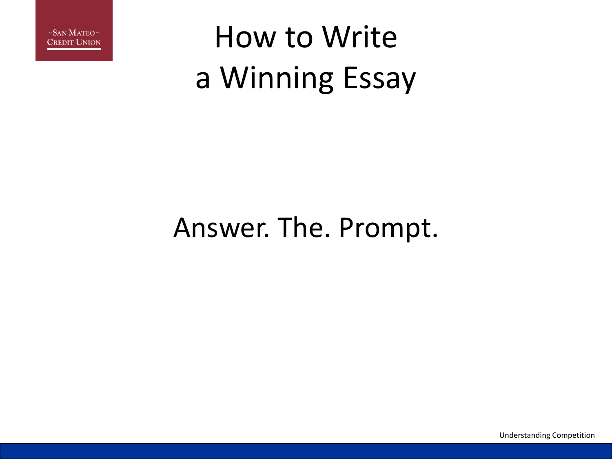

#### How to Write a Winning Essay

#### Answer. The. Prompt.